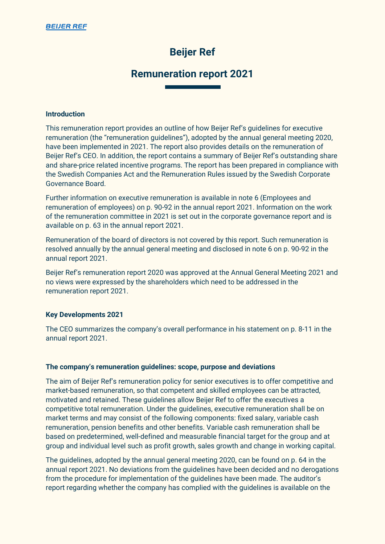# **Beijer Ref**

# **Remuneration report 2021**

#### **Introduction**

This remuneration report provides an outline of how Beijer Ref's guidelines for executive remuneration (the "remuneration guidelines"), adopted by the annual general meeting 2020, have been implemented in 2021. The report also provides details on the remuneration of Beijer Ref's CEO. In addition, the report contains a summary of Beijer Ref's outstanding share and share-price related incentive programs. The report has been prepared in compliance with the Swedish Companies Act and the Remuneration Rules issued by the Swedish Corporate Governance Board.

Further information on executive remuneration is available in note 6 (Employees and remuneration of employees) on p. 90-92 in the annual report 2021. Information on the work of the remuneration committee in 2021 is set out in the corporate governance report and is available on p. 63 in the annual report 2021.

Remuneration of the board of directors is not covered by this report. Such remuneration is resolved annually by the annual general meeting and disclosed in note 6 on p. 90-92 in the annual report 2021.

Beijer Ref's remuneration report 2020 was approved at the Annual General Meeting 2021 and no views were expressed by the shareholders which need to be addressed in the remuneration report 2021.

# **Key Developments 2021**

The CEO summarizes the company's overall performance in his statement on p. 8-11 in the annual report 2021.

#### **The company's remuneration guidelines: scope, purpose and deviations**

The aim of Beijer Ref's remuneration policy for senior executives is to offer competitive and market-based remuneration, so that competent and skilled employees can be attracted, motivated and retained. These guidelines allow Beijer Ref to offer the executives a competitive total remuneration. Under the guidelines, executive remuneration shall be on market terms and may consist of the following components: fixed salary, variable cash remuneration, pension benefits and other benefits. Variable cash remuneration shall be based on predetermined, well-defined and measurable financial target for the group and at group and individual level such as profit growth, sales growth and change in working capital.

The guidelines, adopted by the annual general meeting 2020, can be found on p. 64 in the annual report 2021. No deviations from the guidelines have been decided and no derogations from the procedure for implementation of the guidelines have been made. The auditor's report regarding whether the company has complied with the guidelines is available on the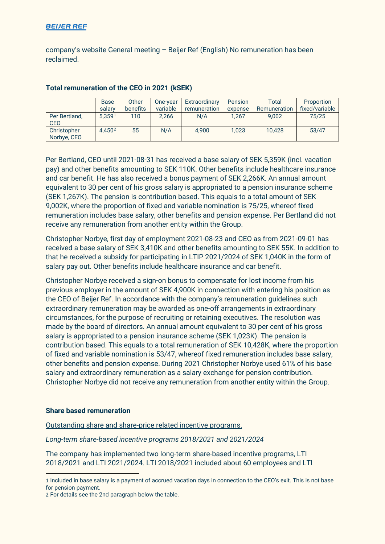# **BEIJER REF**

company's website General meeting – Beijer Ref (English) No remuneration has been reclaimed.

|                             | <b>Base</b>        | Other           | One-year | Extraordinary | <b>Pension</b> | Total        | Proportion     |  |
|-----------------------------|--------------------|-----------------|----------|---------------|----------------|--------------|----------------|--|
|                             | salary             | <b>benefits</b> | variable | remuneration  | expense        | Remuneration | fixed/variable |  |
| Per Bertland.<br><b>CEO</b> | 5.3591             | 110             | 2.266    | N/A           | 1.267          | 9.002        | 75/25          |  |
| Christopher<br>Norbye, CEO  | 4.450 <sup>2</sup> | 55              | N/A      | 4.900         | 1,023          | 10.428       | 53/47          |  |

# **Total remuneration of the CEO in 2021 (kSEK)**

Per Bertland, CEO until 2021-08-31 has received a base salary of SEK 5,359K (incl. vacation pay) and other benefits amounting to SEK 110K. Other benefits include healthcare insurance and car benefit. He has also received a bonus payment of SEK 2,266K. An annual amount equivalent to 30 per cent of his gross salary is appropriated to a pension insurance scheme (SEK 1,267K). The pension is contribution based. This equals to a total amount of SEK 9,002K, where the proportion of fixed and variable nomination is 75/25, whereof fixed remuneration includes base salary, other benefits and pension expense. Per Bertland did not receive any remuneration from another entity within the Group.

Christopher Norbye, first day of employment 2021-08-23 and CEO as from 2021-09-01 has received a base salary of SEK 3,410K and other benefits amounting to SEK 55K. In addition to that he received a subsidy for participating in LTIP 2021/2024 of SEK 1,040K in the form of salary pay out. Other benefits include healthcare insurance and car benefit.

Christopher Norbye received a sign-on bonus to compensate for lost income from his previous employer in the amount of SEK 4,900K in connection with entering his position as the CEO of Beijer Ref. In accordance with the company's remuneration guidelines such extraordinary remuneration may be awarded as one-off arrangements in extraordinary circumstances, for the purpose of recruiting or retaining executives. The resolution was made by the board of directors. An annual amount equivalent to 30 per cent of his gross salary is appropriated to a pension insurance scheme (SEK 1,023K). The pension is contribution based. This equals to a total remuneration of SEK 10,428K, where the proportion of fixed and variable nomination is 53/47, whereof fixed remuneration includes base salary, other benefits and pension expense. During 2021 Christopher Norbye used 61% of his base salary and extraordinary remuneration as a salary exchange for pension contribution. Christopher Norbye did not receive any remuneration from another entity within the Group.

#### **Share based remuneration**

Outstanding share and share-price related incentive programs.

*Long-term share-based incentive programs 2018/2021 and 2021/2024*

The company has implemented two long-term share-based incentive programs, LTI 2018/2021 and LTI 2021/2024. LTI 2018/2021 included about 60 employees and LTI

<span id="page-1-0"></span><sup>1</sup> Included in base salary is a payment of accrued vacation days in connection to the CEO's exit. This is not base for pension payment.

<span id="page-1-1"></span><sup>2</sup> For details see the 2nd paragraph below the table.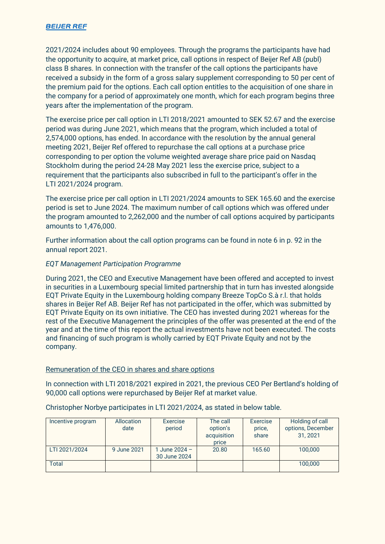# **BEIJER REF**

2021/2024 includes about 90 employees. Through the programs the participants have had the opportunity to acquire, at market price, call options in respect of Beijer Ref AB (publ) class B shares. In connection with the transfer of the call options the participants have received a subsidy in the form of a gross salary supplement corresponding to 50 per cent of the premium paid for the options. Each call option entitles to the acquisition of one share in the company for a period of approximately one month, which for each program begins three years after the implementation of the program.

The exercise price per call option in LTI 2018/2021 amounted to SEK 52.67 and the exercise period was during June 2021, which means that the program, which included a total of 2,574,000 options, has ended. In accordance with the resolution by the annual general meeting 2021, Beijer Ref offered to repurchase the call options at a purchase price corresponding to per option the volume weighted average share price paid on Nasdaq Stockholm during the period 24-28 May 2021 less the exercise price, subject to a requirement that the participants also subscribed in full to the participant's offer in the LTI 2021/2024 program.

The exercise price per call option in LTI 2021/2024 amounts to SEK 165.60 and the exercise period is set to June 2024. The maximum number of call options which was offered under the program amounted to 2,262,000 and the number of call options acquired by participants amounts to 1,476,000.

Further information about the call option programs can be found in note 6 in p. 92 in the annual report 2021.

# *EQT Management Participation Programme*

During 2021, the CEO and Executive Management have been offered and accepted to invest in securities in a Luxembourg special limited partnership that in turn has invested alongside EQT Private Equity in the Luxembourg holding company Breeze TopCo S.à r.l. that holds shares in Beijer Ref AB. Beijer Ref has not participated in the offer, which was submitted by EQT Private Equity on its own initiative. The CEO has invested during 2021 whereas for the rest of the Executive Management the principles of the offer was presented at the end of the year and at the time of this report the actual investments have not been executed. The costs and financing of such program is wholly carried by EQT Private Equity and not by the company.

#### Remuneration of the CEO in shares and share options

In connection with LTI 2018/2021 expired in 2021, the previous CEO Per Bertland's holding of 90,000 call options were repurchased by Beijer Ref at market value.

#### Christopher Norbye participates in LTI 2021/2024, as stated in below table.

| Incentive program | Allocation<br>date | Exercise<br>period            | The call<br>option's<br>acquisition<br>price | Exercise<br>price,<br>share | Holding of call<br>options, December<br>31, 2021 |
|-------------------|--------------------|-------------------------------|----------------------------------------------|-----------------------------|--------------------------------------------------|
| LTI 2021/2024     | 9 June 2021        | 1 June 2024 -<br>30 June 2024 | 20.80                                        | 165.60                      | 100,000                                          |
| <b>Total</b>      |                    |                               |                                              |                             | 100,000                                          |